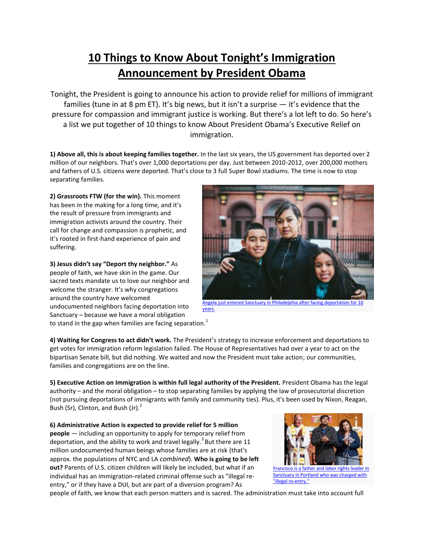## **10 Things to Know About Tonight's Immigration Announcement by President Obama**

Tonight, the President is going to announce his action to provide relief for millions of immigrant families (tune in at 8 pm ET). It's big news, but it isn't a surprise  $-$  it's evidence that the pressure for compassion and immigrant justice is working. But there's a lot left to do. So here's a list we put together of 10 things to know About President Obama's Executive Relief on immigration.

**1) Above all, this is about keeping families together.** In the last six years, the US government has deported over 2 million of our neighbors. That's over 1,000 deportations per day. Just between 2010-2012, over 200,000 mothers and fathers of U.S. citizens were deported. That's close to 3 full Super Bowl stadiums. The time is now to stop separating families.

**2) Grassroots FTW (for the win).** This moment has been in the making for a long time, and it's the result of pressure from immigrants and immigration activists around the country. Their call for change and compassion is prophetic, and it's rooted in first-hand experience of pain and suffering.

**3) Jesus didn't say "Deport thy neighbor."** As people of faith, we have skin in the game. Our sacred texts mandate us to love our neighbor and welcome the stranger. It's why congregations around the country have welcomed undocumented neighbors facing deportation into Sanctuary – because we have a moral obligation



Angela just entered Sanctuary in Philadelphia after facing deportation for 10 [years.](http://action.groundswell-mvmt.org/petitions/tell-the-obama-administration-save-angela-from-being-deported?gs=blog)

to stand in the gap when families are facing separation.<sup>1</sup>

**4) Waiting for Congress to act didn't work.** The President's strategy to increase enforcement and deportations to get votes for immigration reform legislation failed. The House of Representatives had over a year to act on the bipartisan Senate bill, but did nothing. We waited and now the President must take action; our communities, families and congregations are on the line.

**5) Executive Action on Immigration is within full legal authority of the President.** President Obama has the legal authority – and the moral obligation – to stop separating families by applying the law of prosecutorial discretion (not pursuing deportations of immigrants with family and community ties). Plus, it's been used by Nixon, Reagan, Bush (Sr), Clinton, and Bush (Jr). $^2$ 

**6) Administrative Action is expected to provide relief for 5 million people** — including an opportunity to apply for temporary relief from deportation, and the ability to work and travel legally.<sup>3</sup> But there are 11 million undocumented human beings whose families are at risk (that's approx. the populations of NYC and LA *combined*). **Who is going to be left out?** Parents of U.S. citizen children will likely be included, but what if an individual has an immigration-related criminal offense such as "illegal reentry," or if they have a DUI, but are part of a diversion program? As



people of faith, we know that each person matters and is sacred. The administration must take into account full